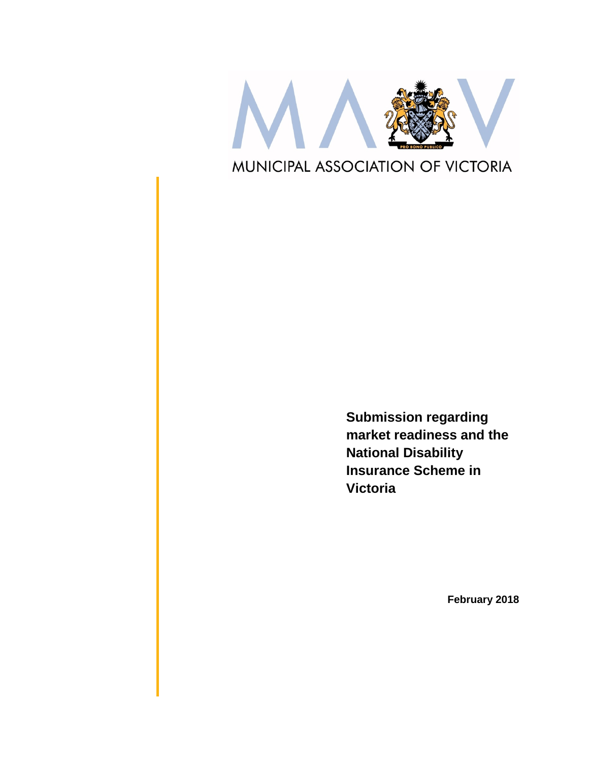

**Submission regarding market readiness and the National Disability Insurance Scheme in Victoria**

**February 2018**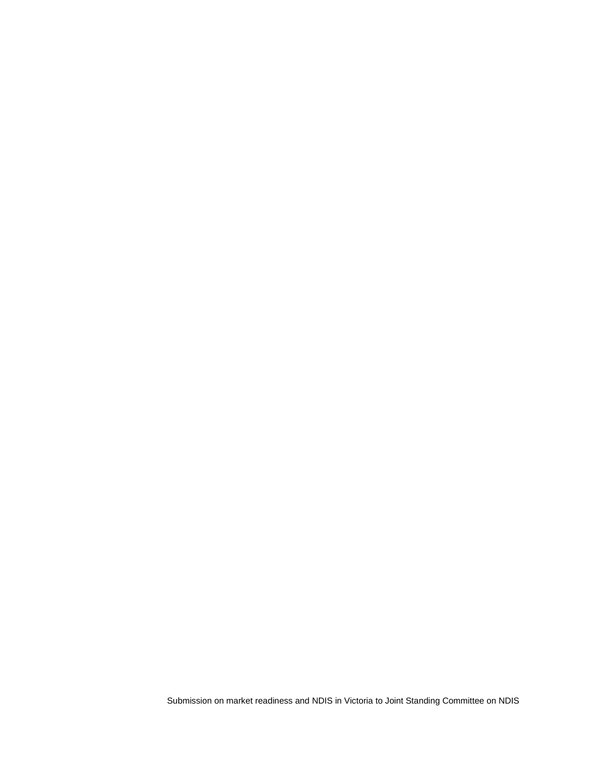Submission on market readiness and NDIS in Victoria to Joint Standing Committee on NDIS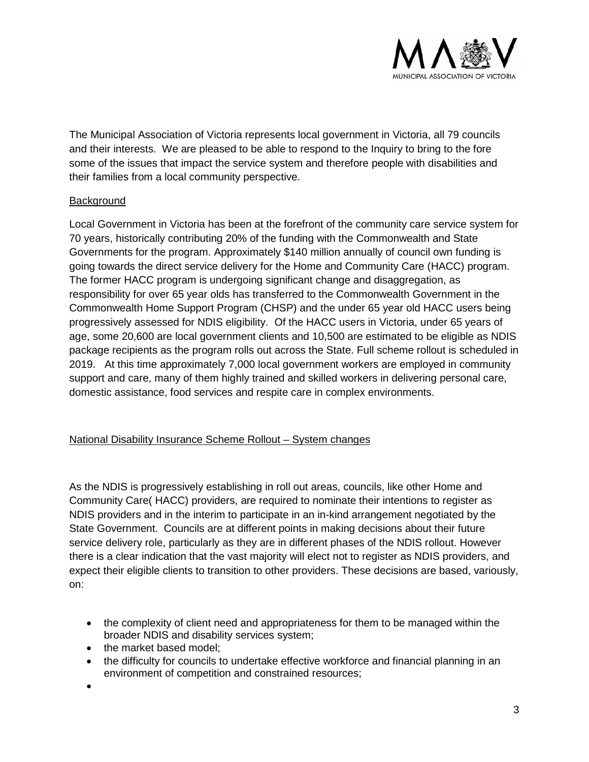

The Municipal Association of Victoria represents local government in Victoria, all 79 councils and their interests. We are pleased to be able to respond to the Inquiry to bring to the fore some of the issues that impact the service system and therefore people with disabilities and their families from a local community perspective.

## **Background**

Local Government in Victoria has been at the forefront of the community care service system for 70 years, historically contributing 20% of the funding with the Commonwealth and State Governments for the program. Approximately \$140 million annually of council own funding is going towards the direct service delivery for the Home and Community Care (HACC) program. The former HACC program is undergoing significant change and disaggregation, as responsibility for over 65 year olds has transferred to the Commonwealth Government in the Commonwealth Home Support Program (CHSP) and the under 65 year old HACC users being progressively assessed for NDIS eligibility. Of the HACC users in Victoria, under 65 years of age, some 20,600 are local government clients and 10,500 are estimated to be eligible as NDIS package recipients as the program rolls out across the State. Full scheme rollout is scheduled in 2019. At this time approximately 7,000 local government workers are employed in community support and care, many of them highly trained and skilled workers in delivering personal care, domestic assistance, food services and respite care in complex environments.

## National Disability Insurance Scheme Rollout – System changes

As the NDIS is progressively establishing in roll out areas, councils, like other Home and Community Care( HACC) providers, are required to nominate their intentions to register as NDIS providers and in the interim to participate in an in-kind arrangement negotiated by the State Government. Councils are at different points in making decisions about their future service delivery role, particularly as they are in different phases of the NDIS rollout. However there is a clear indication that the vast majority will elect not to register as NDIS providers, and expect their eligible clients to transition to other providers. These decisions are based, variously, on:

- the complexity of client need and appropriateness for them to be managed within the broader NDIS and disability services system;
- the market based model:
- the difficulty for councils to undertake effective workforce and financial planning in an environment of competition and constrained resources;
- •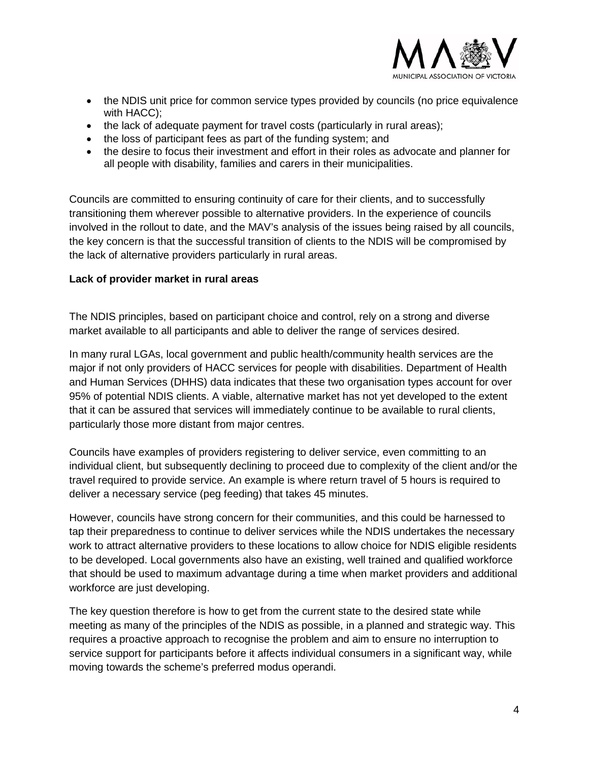

- the NDIS unit price for common service types provided by councils (no price equivalence with HACC);
- the lack of adequate payment for travel costs (particularly in rural areas);
- the loss of participant fees as part of the funding system; and
- the desire to focus their investment and effort in their roles as advocate and planner for all people with disability, families and carers in their municipalities.

Councils are committed to ensuring continuity of care for their clients, and to successfully transitioning them wherever possible to alternative providers. In the experience of councils involved in the rollout to date, and the MAV's analysis of the issues being raised by all councils, the key concern is that the successful transition of clients to the NDIS will be compromised by the lack of alternative providers particularly in rural areas.

### **Lack of provider market in rural areas**

The NDIS principles, based on participant choice and control, rely on a strong and diverse market available to all participants and able to deliver the range of services desired.

In many rural LGAs, local government and public health/community health services are the major if not only providers of HACC services for people with disabilities. Department of Health and Human Services (DHHS) data indicates that these two organisation types account for over 95% of potential NDIS clients. A viable, alternative market has not yet developed to the extent that it can be assured that services will immediately continue to be available to rural clients, particularly those more distant from major centres.

Councils have examples of providers registering to deliver service, even committing to an individual client, but subsequently declining to proceed due to complexity of the client and/or the travel required to provide service. An example is where return travel of 5 hours is required to deliver a necessary service (peg feeding) that takes 45 minutes.

However, councils have strong concern for their communities, and this could be harnessed to tap their preparedness to continue to deliver services while the NDIS undertakes the necessary work to attract alternative providers to these locations to allow choice for NDIS eligible residents to be developed. Local governments also have an existing, well trained and qualified workforce that should be used to maximum advantage during a time when market providers and additional workforce are just developing.

The key question therefore is how to get from the current state to the desired state while meeting as many of the principles of the NDIS as possible, in a planned and strategic way. This requires a proactive approach to recognise the problem and aim to ensure no interruption to service support for participants before it affects individual consumers in a significant way, while moving towards the scheme's preferred modus operandi.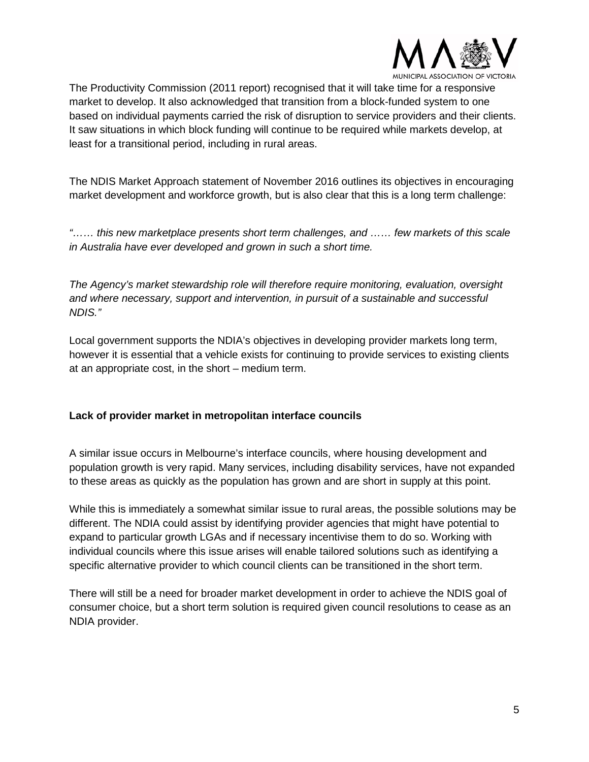

The Productivity Commission (2011 report) recognised that it will take time for a responsive market to develop. It also acknowledged that transition from a block-funded system to one based on individual payments carried the risk of disruption to service providers and their clients. It saw situations in which block funding will continue to be required while markets develop, at least for a transitional period, including in rural areas.

The NDIS Market Approach statement of November 2016 outlines its objectives in encouraging market development and workforce growth, but is also clear that this is a long term challenge:

*"…… this new marketplace presents short term challenges, and …… few markets of this scale in Australia have ever developed and grown in such a short time.*

*The Agency's market stewardship role will therefore require monitoring, evaluation, oversight and where necessary, support and intervention, in pursuit of a sustainable and successful NDIS."*

Local government supports the NDIA's objectives in developing provider markets long term, however it is essential that a vehicle exists for continuing to provide services to existing clients at an appropriate cost, in the short – medium term.

## **Lack of provider market in metropolitan interface councils**

A similar issue occurs in Melbourne's interface councils, where housing development and population growth is very rapid. Many services, including disability services, have not expanded to these areas as quickly as the population has grown and are short in supply at this point.

While this is immediately a somewhat similar issue to rural areas, the possible solutions may be different. The NDIA could assist by identifying provider agencies that might have potential to expand to particular growth LGAs and if necessary incentivise them to do so. Working with individual councils where this issue arises will enable tailored solutions such as identifying a specific alternative provider to which council clients can be transitioned in the short term.

There will still be a need for broader market development in order to achieve the NDIS goal of consumer choice, but a short term solution is required given council resolutions to cease as an NDIA provider.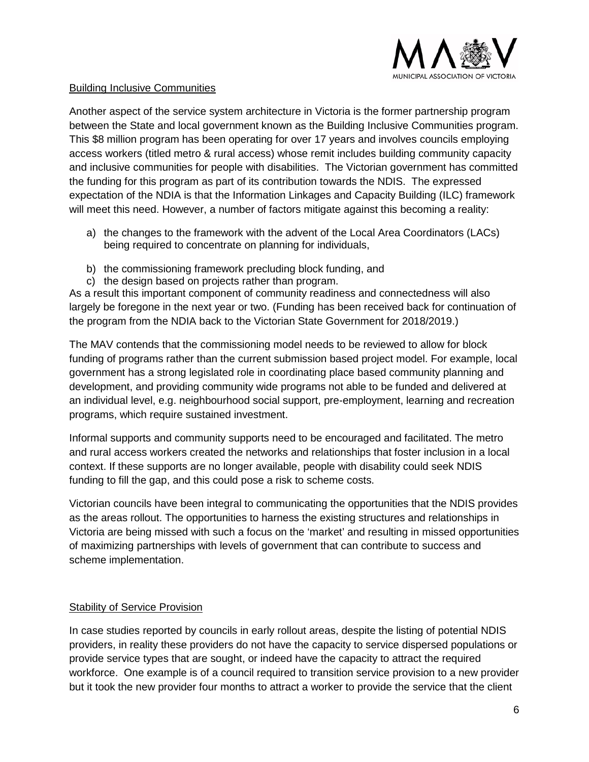

### Building Inclusive Communities

Another aspect of the service system architecture in Victoria is the former partnership program between the State and local government known as the Building Inclusive Communities program. This \$8 million program has been operating for over 17 years and involves councils employing access workers (titled metro & rural access) whose remit includes building community capacity and inclusive communities for people with disabilities. The Victorian government has committed the funding for this program as part of its contribution towards the NDIS. The expressed expectation of the NDIA is that the Information Linkages and Capacity Building (ILC) framework will meet this need. However, a number of factors mitigate against this becoming a reality:

- a) the changes to the framework with the advent of the Local Area Coordinators (LACs) being required to concentrate on planning for individuals,
- b) the commissioning framework precluding block funding, and
- c) the design based on projects rather than program.

As a result this important component of community readiness and connectedness will also largely be foregone in the next year or two. (Funding has been received back for continuation of the program from the NDIA back to the Victorian State Government for 2018/2019.)

The MAV contends that the commissioning model needs to be reviewed to allow for block funding of programs rather than the current submission based project model. For example, local government has a strong legislated role in coordinating place based community planning and development, and providing community wide programs not able to be funded and delivered at an individual level, e.g. neighbourhood social support, pre-employment, learning and recreation programs, which require sustained investment.

Informal supports and community supports need to be encouraged and facilitated. The metro and rural access workers created the networks and relationships that foster inclusion in a local context. If these supports are no longer available, people with disability could seek NDIS funding to fill the gap, and this could pose a risk to scheme costs.

Victorian councils have been integral to communicating the opportunities that the NDIS provides as the areas rollout. The opportunities to harness the existing structures and relationships in Victoria are being missed with such a focus on the 'market' and resulting in missed opportunities of maximizing partnerships with levels of government that can contribute to success and scheme implementation.

### Stability of Service Provision

In case studies reported by councils in early rollout areas, despite the listing of potential NDIS providers, in reality these providers do not have the capacity to service dispersed populations or provide service types that are sought, or indeed have the capacity to attract the required workforce. One example is of a council required to transition service provision to a new provider but it took the new provider four months to attract a worker to provide the service that the client